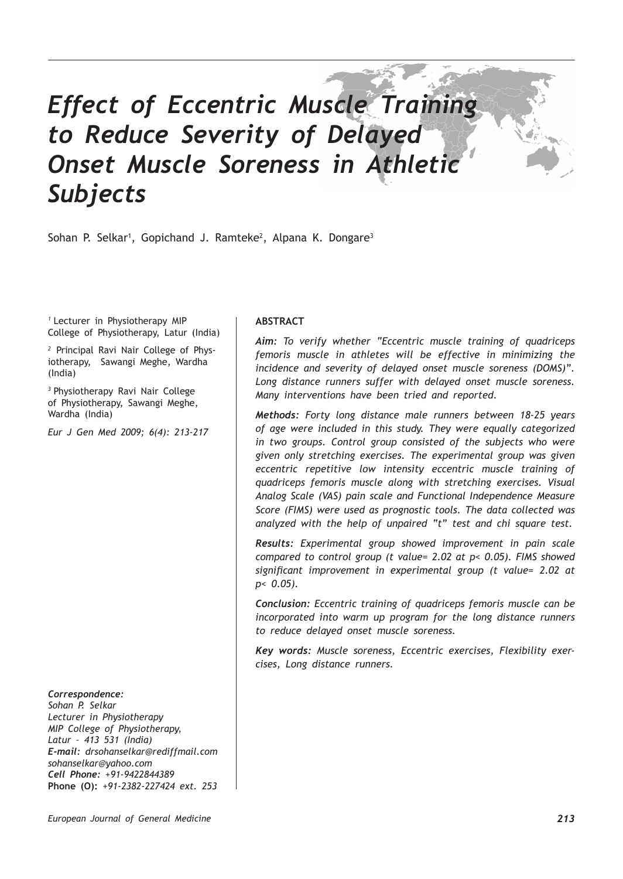# *Effect of Eccentric Muscle Training to Reduce Severity of Delayed Onset Muscle Soreness in Athletic Subjects*

Sohan P. Selkar<sup>1</sup>, Gopichand J. Ramteke<sup>2</sup>, Alpana K. Dongare<sup>3</sup>

*<sup>1</sup>*Lecturer in Physiotherapy MIP College of Physiotherapy, Latur (India)

*2* Principal Ravi Nair College of Physiotherapy, Sawangi Meghe, Wardha (India)

*<sup>3</sup>*Physiotherapy Ravi Nair College of Physiotherapy, Sawangi Meghe, Wardha (India)

*Eur J Gen Med 2009; 6(4): 213-217*

*Correspondence:*

*Sohan P. Selkar Lecturer in Physiotherapy MIP College of Physiotherapy, Latur – 413 531 (India) E-mail: drsohanselkar@rediffmail.com sohanselkar@yahoo.com Cell Phone: +91-9422844389* **Phone (O):** *+91-2382-227424 ext. 253*

# **ABSTRACT**

*Aim: To verify whether "Eccentric muscle training of quadriceps femoris muscle in athletes will be effective in minimizing the incidence and severity of delayed onset muscle soreness (DOMS)". Long distance runners suffer with delayed onset muscle soreness. Many interventions have been tried and reported.* 

*Methods: Forty long distance male runners between 18-25 years of age were included in this study. They were equally categorized in two groups. Control group consisted of the subjects who were given only stretching exercises. The experimental group was given eccentric repetitive low intensity eccentric muscle training of quadriceps femoris muscle along with stretching exercises. Visual Analog Scale (VAS) pain scale and Functional Independence Measure Score (FIMS) were used as prognostic tools. The data collected was analyzed with the help of unpaired "t" test and chi square test.*

*Results: Experimental group showed improvement in pain scale compared to control group (t value= 2.02 at p< 0.05). FIMS showed significant improvement in experimental group (t value= 2.02 at p< 0.05).*

*Conclusion: Eccentric training of quadriceps femoris muscle can be incorporated into warm up program for the long distance runners to reduce delayed onset muscle soreness.*

*Key words: Muscle soreness, Eccentric exercises, Flexibility exercises, Long distance runners.*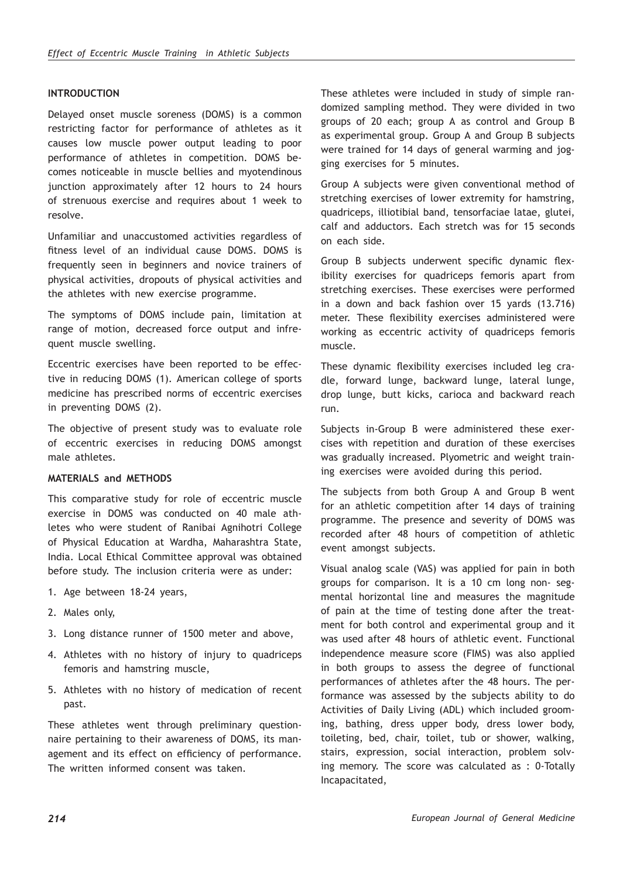### **INTRODUCTION**

Delayed onset muscle soreness (DOMS) is a common restricting factor for performance of athletes as it causes low muscle power output leading to poor performance of athletes in competition. DOMS becomes noticeable in muscle bellies and myotendinous junction approximately after 12 hours to 24 hours of strenuous exercise and requires about 1 week to resolve.

Unfamiliar and unaccustomed activities regardless of fitness level of an individual cause DOMS. DOMS is frequently seen in beginners and novice trainers of physical activities, dropouts of physical activities and the athletes with new exercise programme.

The symptoms of DOMS include pain, limitation at range of motion, decreased force output and infrequent muscle swelling.

Eccentric exercises have been reported to be effective in reducing DOMS (1). American college of sports medicine has prescribed norms of eccentric exercises in preventing DOMS (2).

The objective of present study was to evaluate role of eccentric exercises in reducing DOMS amongst male athletes.

## **MATERIALS and METHODS**

This comparative study for role of eccentric muscle exercise in DOMS was conducted on 40 male athletes who were student of Ranibai Agnihotri College of Physical Education at Wardha, Maharashtra State, India. Local Ethical Committee approval was obtained before study. The inclusion criteria were as under:

- 1. Age between 18-24 years,
- 2. Males only,
- 3. Long distance runner of 1500 meter and above,
- 4. Athletes with no history of injury to quadriceps femoris and hamstring muscle,
- 5. Athletes with no history of medication of recent past.

These athletes went through preliminary questionnaire pertaining to their awareness of DOMS, its management and its effect on efficiency of performance. The written informed consent was taken.

These athletes were included in study of simple randomized sampling method. They were divided in two groups of 20 each; group A as control and Group B as experimental group. Group A and Group B subjects were trained for 14 days of general warming and jogging exercises for 5 minutes.

Group A subjects were given conventional method of stretching exercises of lower extremity for hamstring, quadriceps, illiotibial band, tensorfaciae latae, glutei, calf and adductors. Each stretch was for 15 seconds on each side.

Group B subjects underwent specific dynamic flexibility exercises for quadriceps femoris apart from stretching exercises. These exercises were performed in a down and back fashion over 15 yards (13.716) meter. These flexibility exercises administered were working as eccentric activity of quadriceps femoris muscle.

These dynamic flexibility exercises included leg cradle, forward lunge, backward lunge, lateral lunge, drop lunge, butt kicks, carioca and backward reach run.

Subjects in-Group B were administered these exercises with repetition and duration of these exercises was gradually increased. Plyometric and weight training exercises were avoided during this period.

The subjects from both Group A and Group B went for an athletic competition after 14 days of training programme. The presence and severity of DOMS was recorded after 48 hours of competition of athletic event amongst subjects.

Visual analog scale (VAS) was applied for pain in both groups for comparison. It is a 10 cm long non- segmental horizontal line and measures the magnitude of pain at the time of testing done after the treatment for both control and experimental group and it was used after 48 hours of athletic event. Functional independence measure score (FIMS) was also applied in both groups to assess the degree of functional performances of athletes after the 48 hours. The performance was assessed by the subjects ability to do Activities of Daily Living (ADL) which included grooming, bathing, dress upper body, dress lower body, toileting, bed, chair, toilet, tub or shower, walking, stairs, expression, social interaction, problem solving memory. The score was calculated as : 0-Totally Incapacitated,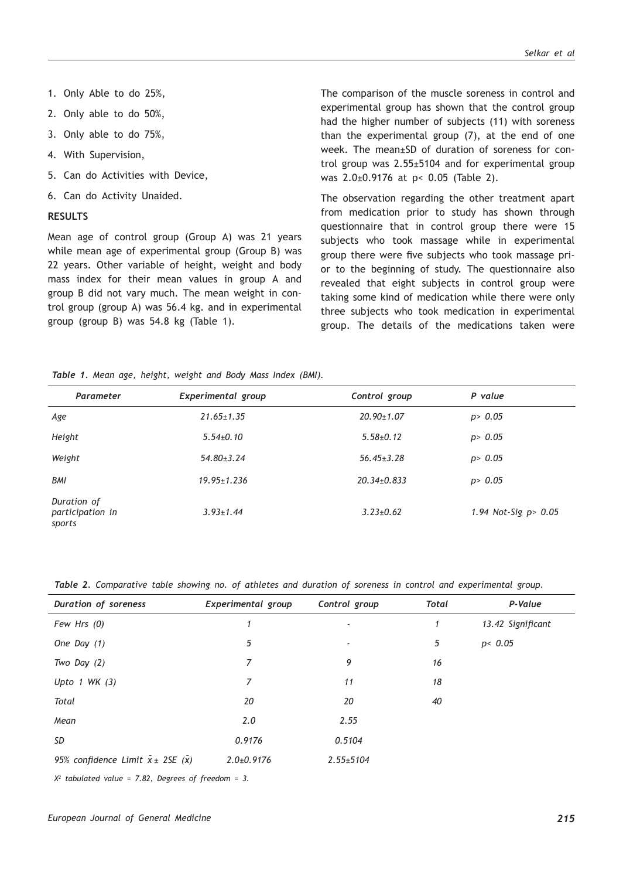- 1. Only Able to do 25%,
- 2. Only able to do 50%,
- 3. Only able to do 75%,
- 4. With Supervision,
- 5. Can do Activities with Device,
- 6. Can do Activity Unaided.

#### **RESULTS**

Mean age of control group (Group A) was 21 years while mean age of experimental group (Group B) was 22 years. Other variable of height, weight and body mass index for their mean values in group A and group B did not vary much. The mean weight in control group (group A) was 56.4 kg. and in experimental group (group B) was 54.8 kg (Table 1).

The comparison of the muscle soreness in control and experimental group has shown that the control group had the higher number of subjects (11) with soreness than the experimental group (7), at the end of one week. The mean±SD of duration of soreness for control group was 2.55±5104 and for experimental group was 2.0±0.9176 at p< 0.05 (Table 2).

The observation regarding the other treatment apart from medication prior to study has shown through questionnaire that in control group there were 15 subjects who took massage while in experimental group there were five subjects who took massage prior to the beginning of study. The questionnaire also revealed that eight subjects in control group were taking some kind of medication while there were only three subjects who took medication in experimental group. The details of the medications taken were

*Table 1. Mean age, height, weight and Body Mass Index (BMI).*

| Parameter                                 | Experimental group | Control group     | P value                 |
|-------------------------------------------|--------------------|-------------------|-------------------------|
| Age                                       | $21.65 \pm 1.35$   | $20.90 \pm 1.07$  | p > 0.05                |
| Height                                    | $5.54 \pm 0.10$    | $5.58{\pm}0.12$   | p > 0.05                |
| Weight                                    | $54.80 \pm 3.24$   | $56.45 \pm 3.28$  | p > 0.05                |
| <b>BMI</b>                                | $19.95 \pm 1.236$  | $20.34 \pm 0.833$ | p > 0.05                |
| Duration of<br>participation in<br>sports | $3.93 \pm 1.44$    | $3.23 \pm 0.62$   | 1.94 Not-Sig $p > 0.05$ |

*Table 2. Comparative table showing no. of athletes and duration of soreness in control and experimental group.*

| Duration of soreness                | Experimental group | Control group            | <b>Total</b> | P-Value           |
|-------------------------------------|--------------------|--------------------------|--------------|-------------------|
| Few Hrs (0)                         | 1                  | $\overline{\phantom{a}}$ | 1            | 13.42 Significant |
| One Day $(1)$                       | 5                  | $\overline{\phantom{a}}$ | 5            | p < 0.05          |
| Two Day $(2)$                       | 7                  | 9                        | 16           |                   |
| Upto $1$ WK $(3)$                   | $\overline{7}$     | 11                       | 18           |                   |
| Total                               | 20                 | 20                       | 40           |                   |
| Mean                                | 2.0                | 2.55                     |              |                   |
| SD                                  | 0.9176             | 0.5104                   |              |                   |
| 95% confidence Limit $x \pm 2SE(x)$ | $2.0 \pm 0.9176$   | $2.55 \pm 5104$          |              |                   |

*X2 tabulated value = 7.82, Degrees of freedom = 3.*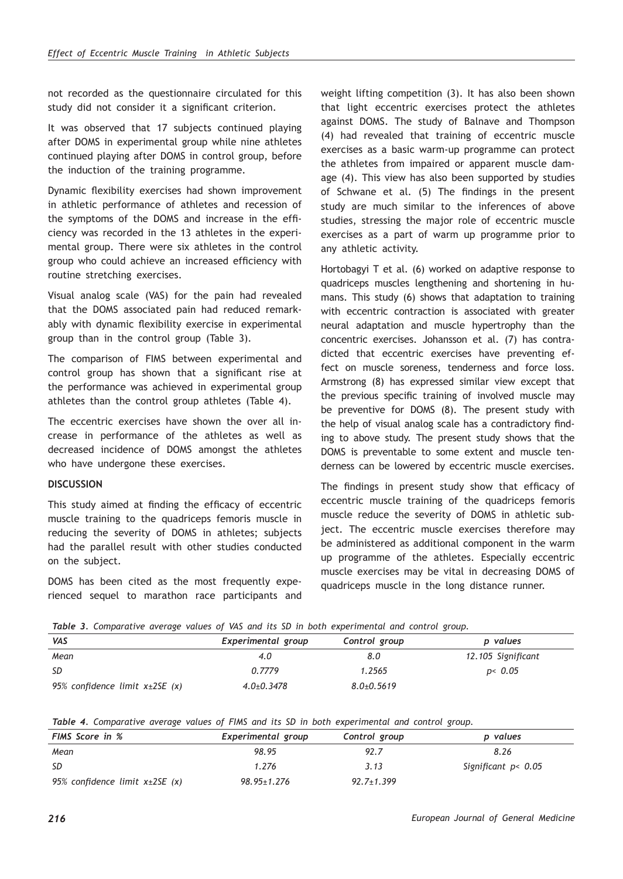not recorded as the questionnaire circulated for this study did not consider it a significant criterion.

It was observed that 17 subjects continued playing after DOMS in experimental group while nine athletes continued playing after DOMS in control group, before the induction of the training programme.

Dynamic flexibility exercises had shown improvement in athletic performance of athletes and recession of the symptoms of the DOMS and increase in the efficiency was recorded in the 13 athletes in the experimental group. There were six athletes in the control group who could achieve an increased efficiency with routine stretching exercises.

Visual analog scale (VAS) for the pain had revealed that the DOMS associated pain had reduced remarkably with dynamic flexibility exercise in experimental group than in the control group (Table 3).

The comparison of FIMS between experimental and control group has shown that a significant rise at the performance was achieved in experimental group athletes than the control group athletes (Table 4).

The eccentric exercises have shown the over all increase in performance of the athletes as well as decreased incidence of DOMS amongst the athletes who have undergone these exercises.

#### **DISCUSSION**

This study aimed at finding the efficacy of eccentric muscle training to the quadriceps femoris muscle in reducing the severity of DOMS in athletes; subjects had the parallel result with other studies conducted on the subject.

DOMS has been cited as the most frequently experienced sequel to marathon race participants and weight lifting competition (3). It has also been shown that light eccentric exercises protect the athletes against DOMS. The study of Balnave and Thompson (4) had revealed that training of eccentric muscle exercises as a basic warm-up programme can protect the athletes from impaired or apparent muscle damage (4). This view has also been supported by studies of Schwane et al. (5) The findings in the present study are much similar to the inferences of above studies, stressing the major role of eccentric muscle exercises as a part of warm up programme prior to any athletic activity.

Hortobagyi T et al. (6) worked on adaptive response to quadriceps muscles lengthening and shortening in humans. This study (6) shows that adaptation to training with eccentric contraction is associated with greater neural adaptation and muscle hypertrophy than the concentric exercises. Johansson et al. (7) has contradicted that eccentric exercises have preventing effect on muscle soreness, tenderness and force loss. Armstrong (8) has expressed similar view except that the previous specific training of involved muscle may be preventive for DOMS (8). The present study with the help of visual analog scale has a contradictory finding to above study. The present study shows that the DOMS is preventable to some extent and muscle tenderness can be lowered by eccentric muscle exercises.

The findings in present study show that efficacy of eccentric muscle training of the quadriceps femoris muscle reduce the severity of DOMS in athletic subject. The eccentric muscle exercises therefore may be administered as additional component in the warm up programme of the athletes. Especially eccentric muscle exercises may be vital in decreasing DOMS of quadriceps muscle in the long distance runner.

|  |  |  |  |  |  | Table 3. Comparative average values of VAS and its SD in both experimental and control group. |  |  |
|--|--|--|--|--|--|-----------------------------------------------------------------------------------------------|--|--|
|  |  |  |  |  |  |                                                                                               |  |  |

| VAS                                 | Experimental group | Control group    | p values           |
|-------------------------------------|--------------------|------------------|--------------------|
| Mean                                | 4.0                | 8.0              | 12.105 Significant |
| -SD                                 | 0.7779             | 1.2565           | p< 0.05            |
| 95% confidence limit $x\pm 2SE$ (x) | $4.0+0.3478$       | $8.0 \pm 0.5619$ |                    |

*Table 4. Comparative average values of FIMS and its SD in both experimental and control group.*

| <b>FIMS</b> Score in %              | Experimental group | Control group    | p values            |  |  |  |
|-------------------------------------|--------------------|------------------|---------------------|--|--|--|
| Mean                                | 98.95              | 92.7             | 8.26                |  |  |  |
| -SD                                 | 1.276              | 3.13             | Significant p< 0.05 |  |  |  |
| 95% confidence limit $x\pm 2SE$ (x) | $98.95 \pm 1.276$  | $92.7 \pm 1.399$ |                     |  |  |  |